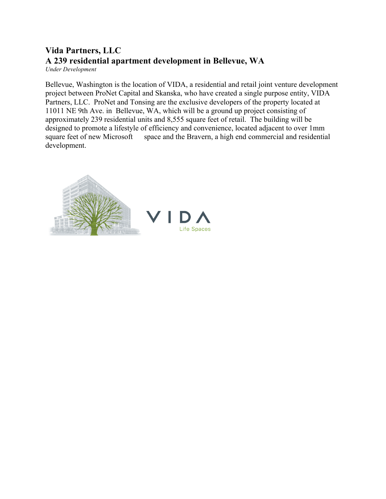## **Vida Partners, LLC A 239 residential apartment development in Bellevue, WA** *Under Development*

Bellevue, Washington is the location of VIDA, a residential and retail joint venture development project between ProNet Capital and Skanska, who have created a single purpose entity, VIDA Partners, LLC. ProNet and Tonsing are the exclusive developers of the property located at 11011 NE 9th Ave. in Bellevue, WA, which will be a ground up project consisting of approximately 239 residential units and 8,555 square feet of retail. The building will be designed to promote a lifestyle of efficiency and convenience, located adjacent to over 1mm square feet of new Microsoft space and the Bravern, a high end commercial and residential development.